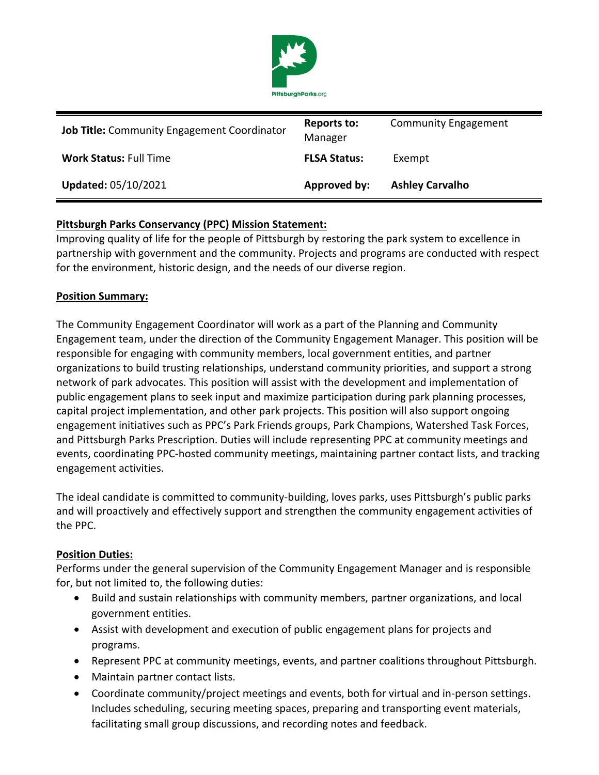

| <b>Job Title:</b> Community Engagement Coordinator | <b>Reports to:</b><br>Manager | <b>Community Engagement</b> |
|----------------------------------------------------|-------------------------------|-----------------------------|
| <b>Work Status: Full Time</b>                      | <b>FLSA Status:</b>           | Exempt                      |
| <b>Updated: 05/10/2021</b>                         | Approved by:                  | <b>Ashley Carvalho</b>      |

## **Pittsburgh Parks Conservancy (PPC) Mission Statement:**

Improving quality of life for the people of Pittsburgh by restoring the park system to excellence in partnership with government and the community. Projects and programs are conducted with respect for the environment, historic design, and the needs of our diverse region.

### **Position Summary:**

The Community Engagement Coordinator will work as a part of the Planning and Community Engagement team, under the direction of the Community Engagement Manager. This position will be responsible for engaging with community members, local government entities, and partner organizations to build trusting relationships, understand community priorities, and support a strong network of park advocates. This position will assist with the development and implementation of public engagement plans to seek input and maximize participation during park planning processes, capital project implementation, and other park projects. This position will also support ongoing engagement initiatives such as PPC's Park Friends groups, Park Champions, Watershed Task Forces, and Pittsburgh Parks Prescription. Duties will include representing PPC at community meetings and events, coordinating PPC-hosted community meetings, maintaining partner contact lists, and tracking engagement activities.

The ideal candidate is committed to community-building, loves parks, uses Pittsburgh's public parks and will proactively and effectively support and strengthen the community engagement activities of the PPC.

#### **Position Duties:**

Performs under the general supervision of the Community Engagement Manager and is responsible for, but not limited to, the following duties:

- Build and sustain relationships with community members, partner organizations, and local government entities.
- Assist with development and execution of public engagement plans for projects and programs.
- Represent PPC at community meetings, events, and partner coalitions throughout Pittsburgh.
- Maintain partner contact lists.
- Coordinate community/project meetings and events, both for virtual and in-person settings. Includes scheduling, securing meeting spaces, preparing and transporting event materials, facilitating small group discussions, and recording notes and feedback.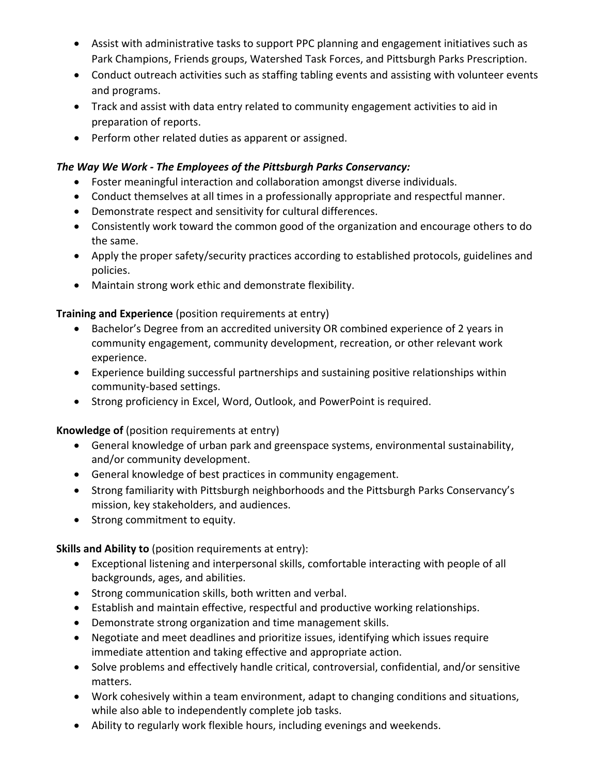- Assist with administrative tasks to support PPC planning and engagement initiatives such as Park Champions, Friends groups, Watershed Task Forces, and Pittsburgh Parks Prescription.
- Conduct outreach activities such as staffing tabling events and assisting with volunteer events and programs.
- Track and assist with data entry related to community engagement activities to aid in preparation of reports.
- Perform other related duties as apparent or assigned.

# *The Way We Work - The Employees of the Pittsburgh Parks Conservancy:*

- Foster meaningful interaction and collaboration amongst diverse individuals.
- Conduct themselves at all times in a professionally appropriate and respectful manner.
- Demonstrate respect and sensitivity for cultural differences.
- Consistently work toward the common good of the organization and encourage others to do the same.
- Apply the proper safety/security practices according to established protocols, guidelines and policies.
- Maintain strong work ethic and demonstrate flexibility.

## **Training and Experience** (position requirements at entry)

- Bachelor's Degree from an accredited university OR combined experience of 2 years in community engagement, community development, recreation, or other relevant work experience.
- Experience building successful partnerships and sustaining positive relationships within community-based settings.
- Strong proficiency in Excel, Word, Outlook, and PowerPoint is required.

**Knowledge of** (position requirements at entry)

- General knowledge of urban park and greenspace systems, environmental sustainability, and/or community development.
- General knowledge of best practices in community engagement.
- Strong familiarity with Pittsburgh neighborhoods and the Pittsburgh Parks Conservancy's mission, key stakeholders, and audiences.
- Strong commitment to equity.

**Skills and Ability to** (position requirements at entry):

- Exceptional listening and interpersonal skills, comfortable interacting with people of all backgrounds, ages, and abilities.
- Strong communication skills, both written and verbal.
- Establish and maintain effective, respectful and productive working relationships.
- Demonstrate strong organization and time management skills.
- Negotiate and meet deadlines and prioritize issues, identifying which issues require immediate attention and taking effective and appropriate action.
- Solve problems and effectively handle critical, controversial, confidential, and/or sensitive matters.
- Work cohesively within a team environment, adapt to changing conditions and situations, while also able to independently complete job tasks.
- Ability to regularly work flexible hours, including evenings and weekends.